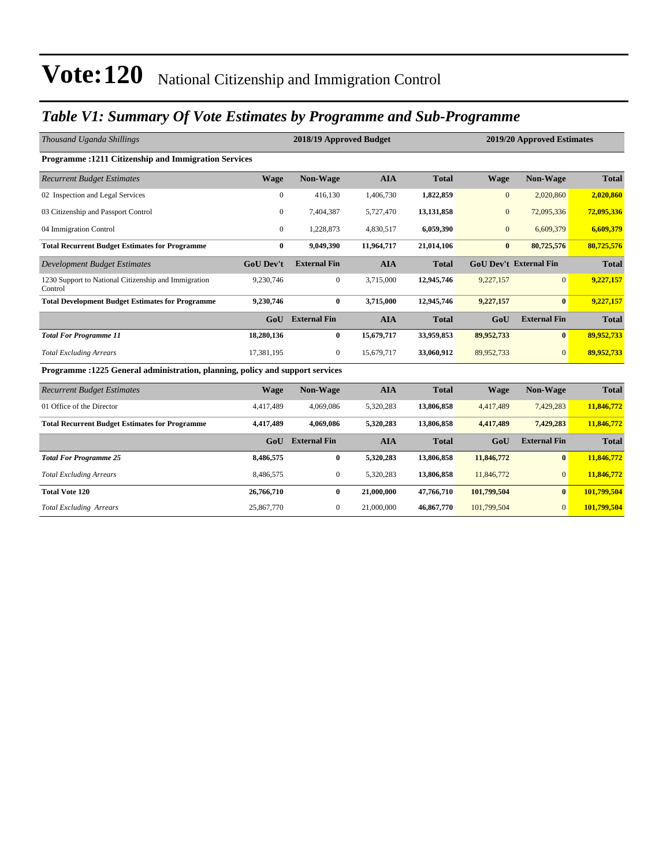### *Table V1: Summary Of Vote Estimates by Programme and Sub-Programme*

| Thousand Uganda Shillings                                                      |                  | 2018/19 Approved Budget |            |              |              | 2019/20 Approved Estimates    |              |  |  |
|--------------------------------------------------------------------------------|------------------|-------------------------|------------|--------------|--------------|-------------------------------|--------------|--|--|
| Programme: 1211 Citizenship and Immigration Services                           |                  |                         |            |              |              |                               |              |  |  |
| <b>Recurrent Budget Estimates</b>                                              | <b>Wage</b>      | Non-Wage                | <b>AIA</b> | <b>Total</b> | <b>Wage</b>  | <b>Non-Wage</b>               | <b>Total</b> |  |  |
| 02 Inspection and Legal Services                                               | $\mathbf{0}$     | 416,130                 | 1,406,730  | 1,822,859    | $\mathbf{0}$ | 2,020,860                     | 2,020,860    |  |  |
| 03 Citizenship and Passport Control                                            | $\mathbf{0}$     | 7,404,387               | 5,727,470  | 13,131,858   | $\mathbf{0}$ | 72,095,336                    | 72,095,336   |  |  |
| 04 Immigration Control                                                         | $\Omega$         | 1,228,873               | 4,830,517  | 6,059,390    | $\mathbf{0}$ | 6,609,379                     | 6,609,379    |  |  |
| <b>Total Recurrent Budget Estimates for Programme</b>                          | $\bf{0}$         | 9,049,390               | 11,964,717 | 21,014,106   | $\bf{0}$     | 80,725,576                    | 80,725,576   |  |  |
| <b>Development Budget Estimates</b>                                            | <b>GoU Dev't</b> | <b>External Fin</b>     | <b>AIA</b> | <b>Total</b> |              | <b>GoU Dev't External Fin</b> | <b>Total</b> |  |  |
| 1230 Support to National Citizenship and Immigration<br>Control                | 9,230,746        | $\mathbf{0}$            | 3,715,000  | 12,945,746   | 9,227,157    | $\Omega$                      | 9,227,157    |  |  |
| <b>Total Development Budget Estimates for Programme</b>                        | 9,230,746        | $\bf{0}$                | 3,715,000  | 12,945,746   | 9,227,157    | $\mathbf{0}$                  | 9,227,157    |  |  |
|                                                                                | G <sub>0</sub> U | <b>External Fin</b>     | <b>AIA</b> | <b>Total</b> | GoU          | <b>External Fin</b>           | <b>Total</b> |  |  |
| <b>Total For Programme 11</b>                                                  | 18,280,136       | $\bf{0}$                | 15,679,717 | 33,959,853   | 89,952,733   | $\mathbf{0}$                  | 89,952,733   |  |  |
| <b>Total Excluding Arrears</b>                                                 | 17,381,195       | $\overline{0}$          | 15,679,717 | 33,060,912   | 89,952,733   | $\Omega$                      | 89,952,733   |  |  |
| Programme : 1225 General administration, planning, policy and support services |                  |                         |            |              |              |                               |              |  |  |
| <b>Recurrent Budget Estimates</b>                                              | <b>Wage</b>      | Non-Wage                | <b>AIA</b> | <b>Total</b> | Wage         | <b>Non-Wage</b>               | <b>Total</b> |  |  |
| 01 Office of the Director                                                      | 4,417,489        | 4,069,086               | 5,320,283  | 13,806,858   | 4,417,489    | 7,429,283                     | 11,846,772   |  |  |
| <b>Total Recurrent Budget Estimates for Programme</b>                          | 4,417,489        | 4,069,086               | 5,320,283  | 13,806,858   | 4,417,489    | 7,429,283                     | 11,846,772   |  |  |
|                                                                                | GoU              | <b>External Fin</b>     | <b>AIA</b> | <b>Total</b> | GoU          | <b>External Fin</b>           | <b>Total</b> |  |  |
| <b>Total For Programme 25</b>                                                  | 8,486,575        | $\bf{0}$                | 5,320,283  | 13,806,858   | 11,846,772   | $\bf{0}$                      | 11,846,772   |  |  |
| <b>Total Excluding Arrears</b>                                                 | 8,486,575        | $\mathbf{0}$            | 5,320,283  | 13,806,858   | 11,846,772   | $\overline{0}$                | 11,846,772   |  |  |
| <b>Total Vote 120</b>                                                          | 26,766,710       | $\bf{0}$                | 21,000,000 | 47,766,710   | 101,799,504  | $\mathbf{0}$                  | 101,799,504  |  |  |
| <b>Total Excluding Arrears</b>                                                 | 25,867,770       | $\mathbf{0}$            | 21,000,000 | 46,867,770   | 101,799,504  | $\overline{0}$                | 101,799,504  |  |  |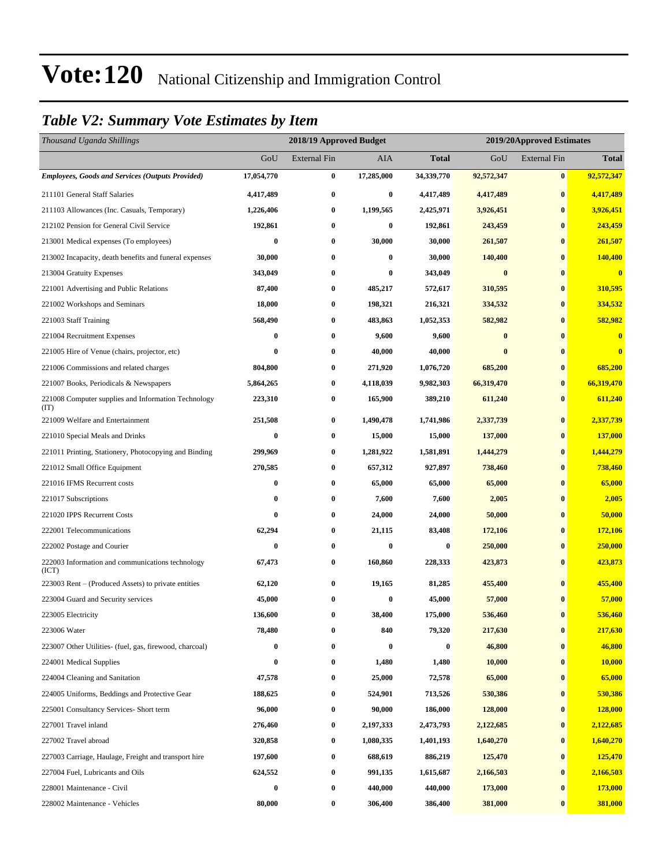### *Table V2: Summary Vote Estimates by Item*

| Thousand Uganda Shillings                                   |            | 2018/19 Approved Budget<br>2019/20Approved Estimates |            |                  |            |                     |                         |
|-------------------------------------------------------------|------------|------------------------------------------------------|------------|------------------|------------|---------------------|-------------------------|
|                                                             | GoU        | <b>External Fin</b>                                  | AIA        | <b>Total</b>     | GoU        | <b>External Fin</b> | <b>Total</b>            |
| <b>Employees, Goods and Services (Outputs Provided)</b>     | 17,054,770 | $\bf{0}$                                             | 17,285,000 | 34,339,770       | 92,572,347 | $\bf{0}$            | 92,572,347              |
| 211101 General Staff Salaries                               | 4,417,489  | $\bf{0}$                                             | $\bf{0}$   | 4,417,489        | 4,417,489  | $\bf{0}$            | 4,417,489               |
| 211103 Allowances (Inc. Casuals, Temporary)                 | 1,226,406  | $\bf{0}$                                             | 1,199,565  | 2,425,971        | 3,926,451  | $\bf{0}$            | 3,926,451               |
| 212102 Pension for General Civil Service                    | 192,861    | $\bf{0}$                                             | $\bf{0}$   | 192,861          | 243,459    | $\bf{0}$            | 243,459                 |
| 213001 Medical expenses (To employees)                      | 0          | $\bf{0}$                                             | 30,000     | 30,000           | 261,507    | $\bf{0}$            | 261,507                 |
| 213002 Incapacity, death benefits and funeral expenses      | 30,000     | $\bf{0}$                                             | $\bf{0}$   | 30,000           | 140,400    | $\bf{0}$            | 140,400                 |
| 213004 Gratuity Expenses                                    | 343,049    | $\bf{0}$                                             | 0          | 343,049          | $\bf{0}$   | $\bf{0}$            | $\overline{\mathbf{0}}$ |
| 221001 Advertising and Public Relations                     | 87,400     | $\bf{0}$                                             | 485,217    | 572,617          | 310,595    | $\bf{0}$            | 310,595                 |
| 221002 Workshops and Seminars                               | 18,000     | $\bf{0}$                                             | 198,321    | 216,321          | 334,532    | $\bf{0}$            | 334,532                 |
| 221003 Staff Training                                       | 568,490    | $\bf{0}$                                             | 483,863    | 1,052,353        | 582,982    | $\bf{0}$            | 582,982                 |
| 221004 Recruitment Expenses                                 | 0          | $\bf{0}$                                             | 9,600      | 9,600            | $\bf{0}$   | $\bf{0}$            | $\overline{\mathbf{0}}$ |
| 221005 Hire of Venue (chairs, projector, etc)               | $\bf{0}$   | $\bf{0}$                                             | 40,000     | 40,000           | $\bf{0}$   | $\bf{0}$            | $\overline{\mathbf{0}}$ |
| 221006 Commissions and related charges                      | 804,800    | $\bf{0}$                                             | 271,920    | 1,076,720        | 685,200    | $\bf{0}$            | 685,200                 |
| 221007 Books, Periodicals & Newspapers                      | 5,864,265  | $\bf{0}$                                             | 4,118,039  | 9,982,303        | 66,319,470 | $\bf{0}$            | 66,319,470              |
| 221008 Computer supplies and Information Technology<br>(TT) | 223,310    | $\bf{0}$                                             | 165,900    | 389,210          | 611,240    | $\bf{0}$            | 611,240                 |
| 221009 Welfare and Entertainment                            | 251,508    | $\bf{0}$                                             | 1,490,478  | 1,741,986        | 2,337,739  | $\bf{0}$            | 2,337,739               |
| 221010 Special Meals and Drinks                             | 0          | $\bf{0}$                                             | 15,000     | 15,000           | 137,000    | $\bf{0}$            | 137,000                 |
| 221011 Printing, Stationery, Photocopying and Binding       | 299,969    | $\bf{0}$                                             | 1,281,922  | 1,581,891        | 1,444,279  | $\bf{0}$            | 1,444,279               |
| 221012 Small Office Equipment                               | 270,585    | $\bf{0}$                                             | 657,312    | 927,897          | 738,460    | $\bf{0}$            | 738,460                 |
| 221016 IFMS Recurrent costs                                 | $\bf{0}$   | $\bf{0}$                                             | 65,000     | 65,000           | 65,000     | $\bf{0}$            | 65,000                  |
| 221017 Subscriptions                                        | 0          | $\bf{0}$                                             | 7,600      | 7,600            | 2,005      | $\bf{0}$            | 2,005                   |
| 221020 IPPS Recurrent Costs                                 | 0          | $\bf{0}$                                             | 24,000     | 24,000           | 50,000     | $\bf{0}$            | 50,000                  |
| 222001 Telecommunications                                   | 62,294     | $\bf{0}$                                             | 21,115     | 83,408           | 172,106    | $\bf{0}$            | 172,106                 |
| 222002 Postage and Courier                                  | 0          | $\bf{0}$                                             | $\bf{0}$   | 0                | 250,000    | $\bf{0}$            | 250,000                 |
| 222003 Information and communications technology<br>(ICT)   | 67,473     | $\bf{0}$                                             | 160,860    | 228,333          | 423,873    | $\bf{0}$            | 423,873                 |
| 223003 Rent – (Produced Assets) to private entities         | 62,120     | $\bf{0}$                                             | 19,165     | 81,285           | 455,400    | $\bf{0}$            | 455,400                 |
| 223004 Guard and Security services                          | 45,000     | $\bf{0}$                                             | $\bf{0}$   | 45,000           | 57,000     | $\bf{0}$            | 57,000                  |
| 223005 Electricity                                          | 136,600    | $\bf{0}$                                             | 38,400     | 175,000          | 536,460    | $\bf{0}$            | 536,460                 |
| 223006 Water                                                | 78,480     | $\bf{0}$                                             | 840        | 79,320           | 217,630    | $\bf{0}$            | 217,630                 |
| 223007 Other Utilities- (fuel, gas, firewood, charcoal)     | 0          | $\bf{0}$                                             | $\bf{0}$   | $\boldsymbol{0}$ | 46,800     | $\bf{0}$            | 46,800                  |
| 224001 Medical Supplies                                     | 0          | $\bf{0}$                                             | 1,480      | 1,480            | 10,000     | $\bf{0}$            | 10,000                  |
| 224004 Cleaning and Sanitation                              | 47,578     | $\bf{0}$                                             | 25,000     | 72,578           | 65,000     | $\bf{0}$            | 65,000                  |
| 224005 Uniforms, Beddings and Protective Gear               | 188,625    | $\bf{0}$                                             | 524,901    | 713,526          | 530,386    | $\bf{0}$            | 530,386                 |
| 225001 Consultancy Services- Short term                     | 96,000     | $\bf{0}$                                             | 90,000     | 186,000          | 128,000    | $\bf{0}$            | 128,000                 |
| 227001 Travel inland                                        | 276,460    | $\bf{0}$                                             | 2,197,333  | 2,473,793        | 2,122,685  | $\bf{0}$            | 2,122,685               |
| 227002 Travel abroad                                        | 320,858    | $\bf{0}$                                             | 1,080,335  | 1,401,193        | 1,640,270  | $\bf{0}$            | 1,640,270               |
| 227003 Carriage, Haulage, Freight and transport hire        | 197,600    | $\bf{0}$                                             | 688,619    | 886,219          | 125,470    | $\bf{0}$            | 125,470                 |
| 227004 Fuel, Lubricants and Oils                            | 624,552    | $\bf{0}$                                             | 991,135    | 1,615,687        | 2,166,503  | $\bf{0}$            | 2,166,503               |
| 228001 Maintenance - Civil                                  | $\bf{0}$   | $\bf{0}$                                             | 440,000    | 440,000          | 173,000    | $\bf{0}$            | 173,000                 |
| 228002 Maintenance - Vehicles                               | 80,000     | $\bf{0}$                                             | 306,400    | 386,400          | 381,000    | $\bf{0}$            | 381,000                 |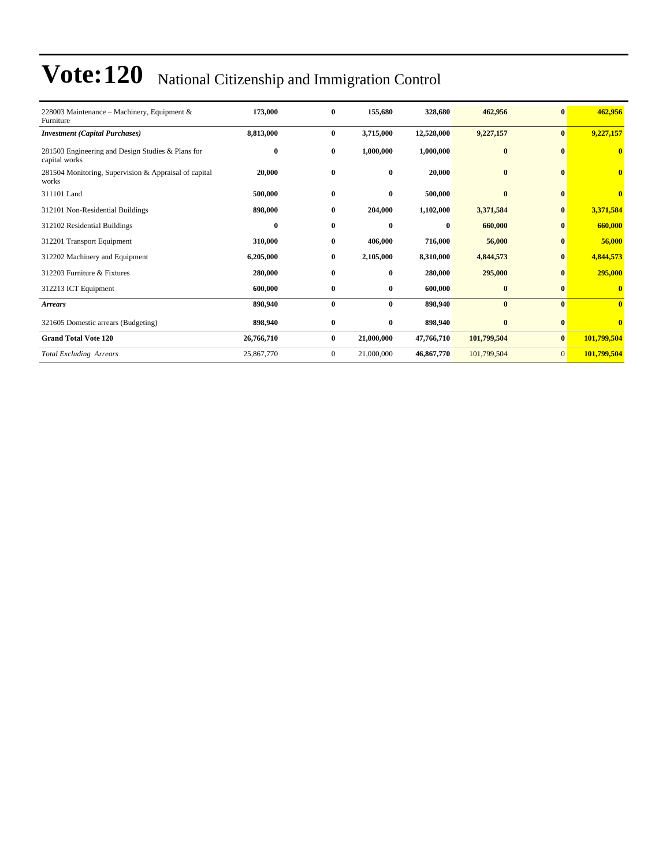| 228003 Maintenance – Machinery, Equipment $\&$<br>Furniture        | 173,000    | $\bf{0}$     | 155,680      | 328,680    | 462,956      | $\bf{0}$       | 462,956                 |
|--------------------------------------------------------------------|------------|--------------|--------------|------------|--------------|----------------|-------------------------|
| <b>Investment</b> (Capital Purchases)                              | 8,813,000  | $\bf{0}$     | 3,715,000    | 12,528,000 | 9,227,157    | $\bf{0}$       | 9,227,157               |
| 281503 Engineering and Design Studies & Plans for<br>capital works | 0          | $\bf{0}$     | 1,000,000    | 1,000,000  | $\bf{0}$     | $\mathbf{0}$   | $\mathbf{0}$            |
| 281504 Monitoring, Supervision & Appraisal of capital<br>works     | 20,000     | $\bf{0}$     | $\bf{0}$     | 20,000     | $\bf{0}$     | $\bf{0}$       | $\bf{0}$                |
| 311101 Land                                                        | 500,000    | $\bf{0}$     | $\mathbf{0}$ | 500,000    | $\mathbf{0}$ | $\bf{0}$       | $\overline{\mathbf{0}}$ |
| 312101 Non-Residential Buildings                                   | 898,000    | $\bf{0}$     | 204,000      | 1,102,000  | 3,371,584    | $\bf{0}$       | 3,371,584               |
| 312102 Residential Buildings                                       | 0          | $\bf{0}$     | $\mathbf{0}$ | $\bf{0}$   | 660,000      | $\bf{0}$       | 660,000                 |
| 312201 Transport Equipment                                         | 310,000    | $\bf{0}$     | 406,000      | 716,000    | 56,000       | $\bf{0}$       | 56,000                  |
| 312202 Machinery and Equipment                                     | 6,205,000  | $\bf{0}$     | 2,105,000    | 8,310,000  | 4,844,573    | $\bf{0}$       | 4,844,573               |
| 312203 Furniture & Fixtures                                        | 280,000    | $\bf{0}$     | $\bf{0}$     | 280,000    | 295,000      | $\mathbf{0}$   | 295,000                 |
| 312213 ICT Equipment                                               | 600,000    | $\bf{0}$     | $\bf{0}$     | 600,000    | $\bf{0}$     | $\bf{0}$       | $\bf{0}$                |
| <b>Arrears</b>                                                     | 898,940    | $\bf{0}$     | $\bf{0}$     | 898,940    | $\bf{0}$     | $\bf{0}$       | $\bf{0}$                |
| 321605 Domestic arrears (Budgeting)                                | 898,940    | $\bf{0}$     | $\bf{0}$     | 898,940    | $\bf{0}$     | $\bf{0}$       | $\overline{\mathbf{0}}$ |
| <b>Grand Total Vote 120</b>                                        | 26,766,710 | $\bf{0}$     | 21,000,000   | 47,766,710 | 101,799,504  | $\bf{0}$       | 101,799,504             |
| <b>Total Excluding Arrears</b>                                     | 25,867,770 | $\mathbf{0}$ | 21,000,000   | 46,867,770 | 101,799,504  | $\overline{0}$ | 101,799,504             |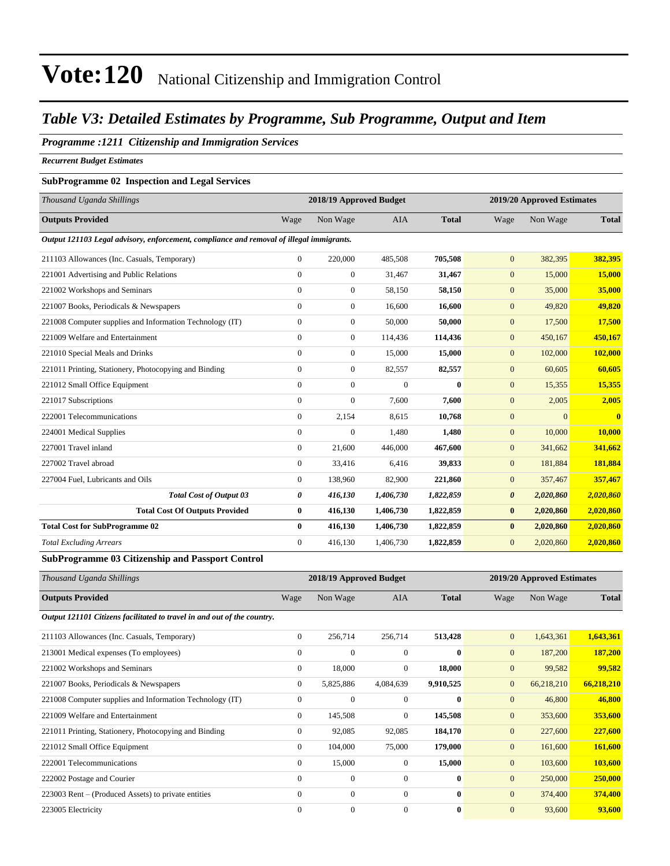### *Table V3: Detailed Estimates by Programme, Sub Programme, Output and Item*

#### *Programme :1211 Citizenship and Immigration Services*

*Recurrent Budget Estimates*

#### **SubProgramme 02 Inspection and Legal Services**

|                |                  |                                                                                          |                         |                       | 2019/20 Approved Estimates |                         |  |
|----------------|------------------|------------------------------------------------------------------------------------------|-------------------------|-----------------------|----------------------------|-------------------------|--|
| Wage           | Non Wage         | <b>AIA</b>                                                                               | <b>Total</b>            | Wage                  | Non Wage                   | <b>Total</b>            |  |
|                |                  |                                                                                          |                         |                       |                            |                         |  |
| $\overline{0}$ | 220,000          | 485,508                                                                                  | 705,508                 | $\mathbf{0}$          | 382,395                    | 382,395                 |  |
| $\overline{0}$ | $\boldsymbol{0}$ | 31,467                                                                                   | 31,467                  | $\mathbf{0}$          | 15,000                     | 15,000                  |  |
| $\overline{0}$ | $\boldsymbol{0}$ | 58,150                                                                                   | 58,150                  | $\mathbf{0}$          | 35,000                     | 35,000                  |  |
| $\overline{0}$ | $\boldsymbol{0}$ | 16.600                                                                                   | 16,600                  | $\mathbf{0}$          | 49,820                     | 49,820                  |  |
| $\overline{0}$ | $\overline{0}$   | 50,000                                                                                   | 50,000                  | $\overline{0}$        | 17,500                     | 17,500                  |  |
| $\overline{0}$ | $\boldsymbol{0}$ | 114,436                                                                                  | 114,436                 | $\mathbf{0}$          | 450,167                    | 450,167                 |  |
| $\overline{0}$ | $\boldsymbol{0}$ | 15,000                                                                                   | 15,000                  | $\mathbf{0}$          | 102,000                    | 102,000                 |  |
| $\overline{0}$ | $\boldsymbol{0}$ | 82,557                                                                                   | 82,557                  | $\mathbf{0}$          | 60,605                     | 60,605                  |  |
| $\Omega$       | $\overline{0}$   | $\mathbf{0}$                                                                             | $\bf{0}$                | $\mathbf{0}$          | 15,355                     | 15,355                  |  |
| $\overline{0}$ | $\overline{0}$   | 7.600                                                                                    | 7.600                   | $\mathbf{0}$          | 2,005                      | 2,005                   |  |
| $\overline{0}$ | 2,154            | 8.615                                                                                    | 10,768                  | $\overline{0}$        | $\overline{0}$             | $\overline{\mathbf{0}}$ |  |
| $\overline{0}$ | $\overline{0}$   | 1,480                                                                                    | 1,480                   | $\mathbf{0}$          | 10,000                     | 10,000                  |  |
| $\overline{0}$ | 21,600           | 446,000                                                                                  | 467,600                 | $\mathbf{0}$          | 341,662                    | 341,662                 |  |
| $\overline{0}$ | 33,416           | 6,416                                                                                    | 39,833                  | $\mathbf{0}$          | 181,884                    | 181,884                 |  |
| $\overline{0}$ | 138,960          | 82,900                                                                                   | 221,860                 | $\mathbf{0}$          | 357,467                    | 357,467                 |  |
| 0              | 416,130          | 1,406,730                                                                                | 1,822,859               | $\boldsymbol{\theta}$ | 2,020,860                  | 2,020,860               |  |
| $\bf{0}$       | 416,130          | 1,406,730                                                                                | 1,822,859               | $\bf{0}$              | 2,020,860                  | 2,020,860               |  |
| $\bf{0}$       | 416,130          | 1,406,730                                                                                | 1,822,859               | $\bf{0}$              | 2,020,860                  | 2,020,860               |  |
| $\overline{0}$ | 416,130          | 1,406,730                                                                                | 1,822,859               | $\mathbf{0}$          | 2,020,860                  | 2,020,860               |  |
|                |                  | Output 121103 Legal advisory, enforcement, compliance and removal of illegal immigrants. | 2018/19 Approved Budget |                       |                            |                         |  |

#### **SubProgramme 03 Citizenship and Passport Control**

| Thousand Uganda Shillings                                               |                | 2018/19 Approved Budget |                |              |                  | 2019/20 Approved Estimates |              |
|-------------------------------------------------------------------------|----------------|-------------------------|----------------|--------------|------------------|----------------------------|--------------|
| <b>Outputs Provided</b>                                                 | Wage           | Non Wage                | AIA            | <b>Total</b> | Wage             | Non Wage                   | <b>Total</b> |
| Output 121101 Citizens facilitated to travel in and out of the country. |                |                         |                |              |                  |                            |              |
| 211103 Allowances (Inc. Casuals, Temporary)                             | $\Omega$       | 256,714                 | 256,714        | 513,428      | $\overline{0}$   | 1,643,361                  | 1,643,361    |
| 213001 Medical expenses (To employees)                                  | $\overline{0}$ | $\overline{0}$          | $\Omega$       | $\bf{0}$     | $\overline{0}$   | 187,200                    | 187,200      |
| 221002 Workshops and Seminars                                           | $\mathbf{0}$   | 18,000                  | $\overline{0}$ | 18,000       | $\boldsymbol{0}$ | 99,582                     | 99,582       |
| 221007 Books, Periodicals & Newspapers                                  | $\mathbf{0}$   | 5,825,886               | 4,084,639      | 9,910,525    | $\mathbf{0}$     | 66,218,210                 | 66,218,210   |
| 221008 Computer supplies and Information Technology (IT)                | $\Omega$       | $\mathbf{0}$            | $\Omega$       | $\mathbf{0}$ | $\mathbf{0}$     | 46,800                     | 46,800       |
| 221009 Welfare and Entertainment                                        | $\overline{0}$ | 145,508                 | $\overline{0}$ | 145,508      | $\overline{0}$   | 353,600                    | 353,600      |
| 221011 Printing, Stationery, Photocopying and Binding                   | $\mathbf{0}$   | 92,085                  | 92,085         | 184,170      | $\mathbf{0}$     | 227,600                    | 227,600      |
| 221012 Small Office Equipment                                           | $\mathbf{0}$   | 104,000                 | 75,000         | 179,000      | $\mathbf{0}$     | 161,600                    | 161,600      |
| 222001 Telecommunications                                               | $\overline{0}$ | 15,000                  | $\Omega$       | 15,000       | $\mathbf{0}$     | 103,600                    | 103,600      |
| 222002 Postage and Courier                                              | $\overline{0}$ | $\overline{0}$          | $\mathbf{0}$   | $\bf{0}$     | $\overline{0}$   | 250,000                    | 250,000      |
| 223003 Rent – (Produced Assets) to private entities                     | $\theta$       | $\boldsymbol{0}$        | $\overline{0}$ | $\bf{0}$     | $\mathbf{0}$     | 374,400                    | 374,400      |
| 223005 Electricity                                                      | $\Omega$       | $\overline{0}$          | $\Omega$       | $\mathbf{0}$ | $\overline{0}$   | 93,600                     | 93,600       |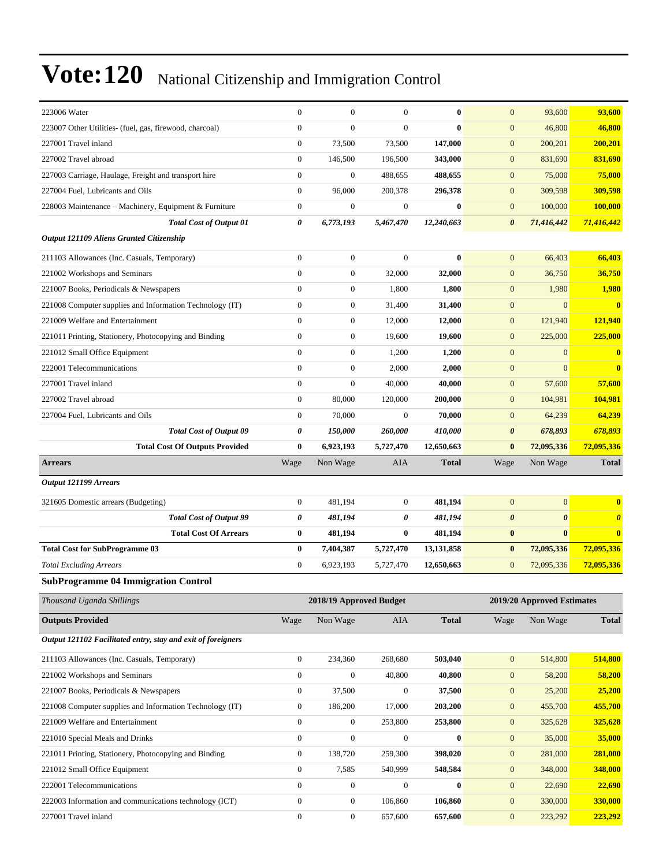| 223006 Water                                                                   | $\mathbf{0}$                         | $\mathbf{0}$                         | $\mathbf{0}$       | $\bf{0}$           | $\mathbf{0}$                         | 93,600                     | 93,600                  |
|--------------------------------------------------------------------------------|--------------------------------------|--------------------------------------|--------------------|--------------------|--------------------------------------|----------------------------|-------------------------|
| 223007 Other Utilities- (fuel, gas, firewood, charcoal)                        | $\mathbf{0}$                         | $\mathbf{0}$                         | $\mathbf{0}$       | $\bf{0}$           | $\mathbf{0}$                         | 46,800                     | 46,800                  |
| 227001 Travel inland                                                           | $\boldsymbol{0}$                     | 73,500                               | 73,500             | 147,000            | $\boldsymbol{0}$                     | 200,201                    | 200,201                 |
| 227002 Travel abroad                                                           | $\boldsymbol{0}$                     | 146,500                              | 196,500            | 343,000            | $\mathbf{0}$                         | 831,690                    | 831,690                 |
| 227003 Carriage, Haulage, Freight and transport hire                           | $\boldsymbol{0}$                     | $\boldsymbol{0}$                     | 488,655            | 488,655            | $\mathbf{0}$                         | 75,000                     | 75,000                  |
| 227004 Fuel, Lubricants and Oils                                               | $\boldsymbol{0}$                     | 96,000                               | 200,378            | 296,378            | $\boldsymbol{0}$                     | 309,598                    | 309,598                 |
| 228003 Maintenance - Machinery, Equipment & Furniture                          | $\boldsymbol{0}$                     | $\boldsymbol{0}$                     | $\boldsymbol{0}$   | $\bf{0}$           | $\boldsymbol{0}$                     | 100,000                    | 100,000                 |
| <b>Total Cost of Output 01</b>                                                 | 0                                    | 6,773,193                            | 5,467,470          | 12,240,663         | $\boldsymbol{\theta}$                | 71,416,442                 | 71,416,442              |
| Output 121109 Aliens Granted Citizenship                                       |                                      |                                      |                    |                    |                                      |                            |                         |
| 211103 Allowances (Inc. Casuals, Temporary)                                    | $\boldsymbol{0}$                     | $\boldsymbol{0}$                     | $\mathbf{0}$       | $\bf{0}$           | $\mathbf{0}$                         | 66,403                     | 66,403                  |
| 221002 Workshops and Seminars                                                  | $\boldsymbol{0}$                     | $\boldsymbol{0}$                     | 32,000             | 32,000             | $\mathbf{0}$                         | 36,750                     | 36,750                  |
| 221007 Books, Periodicals & Newspapers                                         | $\boldsymbol{0}$                     | $\boldsymbol{0}$                     | 1,800              | 1,800              | $\boldsymbol{0}$                     | 1,980                      | 1,980                   |
| 221008 Computer supplies and Information Technology (IT)                       | $\mathbf{0}$                         | $\boldsymbol{0}$                     | 31,400             | 31,400             | $\mathbf{0}$                         | $\mathbf{0}$               | $\overline{\mathbf{0}}$ |
| 221009 Welfare and Entertainment                                               | $\mathbf{0}$                         | $\mathbf{0}$                         | 12,000             | 12,000             | $\mathbf{0}$                         | 121,940                    | 121,940                 |
| 221011 Printing, Stationery, Photocopying and Binding                          | $\boldsymbol{0}$                     | $\mathbf{0}$                         | 19,600             | 19,600             | $\mathbf{0}$                         | 225,000                    | 225,000                 |
| 221012 Small Office Equipment                                                  | $\boldsymbol{0}$                     | $\mathbf{0}$                         | 1,200              | 1,200              | $\boldsymbol{0}$                     | $\mathbf{0}$               | $\bf{0}$                |
| 222001 Telecommunications                                                      | $\boldsymbol{0}$                     | $\boldsymbol{0}$                     | 2,000              | 2,000              | $\boldsymbol{0}$                     | $\overline{0}$             | $\mathbf{0}$            |
| 227001 Travel inland                                                           | $\mathbf{0}$                         | $\mathbf{0}$                         | 40,000             | 40,000             | $\mathbf{0}$                         | 57,600                     | 57,600                  |
| 227002 Travel abroad                                                           | $\mathbf{0}$                         | 80,000                               | 120,000            | 200,000            | $\mathbf{0}$                         | 104,981                    | 104,981                 |
| 227004 Fuel, Lubricants and Oils                                               | $\boldsymbol{0}$                     | 70,000                               | $\mathbf{0}$       | 70,000             | $\mathbf{0}$                         | 64,239                     | 64,239                  |
| <b>Total Cost of Output 09</b>                                                 | 0                                    | 150,000                              | 260,000            | 410,000            | $\boldsymbol{\theta}$                | 678,893                    | 678,893                 |
| <b>Total Cost Of Outputs Provided</b>                                          | $\bf{0}$                             | 6,923,193                            | 5,727,470          | 12,650,663         | $\bf{0}$                             | 72,095,336                 | 72,095,336              |
| <b>Arrears</b>                                                                 | Wage                                 | Non Wage                             | AIA                | <b>Total</b>       | Wage                                 | Non Wage                   | <b>Total</b>            |
|                                                                                |                                      |                                      |                    |                    |                                      |                            |                         |
| Output 121199 Arrears                                                          |                                      |                                      |                    |                    |                                      |                            |                         |
| 321605 Domestic arrears (Budgeting)                                            | $\boldsymbol{0}$                     | 481,194                              | $\boldsymbol{0}$   | 481,194            | $\mathbf{0}$                         | $\overline{0}$             | $\bf{0}$                |
| <b>Total Cost of Output 99</b>                                                 | 0                                    | 481,194                              | 0                  | 481,194            | $\boldsymbol{\theta}$                | $\boldsymbol{\theta}$      | $\boldsymbol{\theta}$   |
| <b>Total Cost Of Arrears</b>                                                   | $\bf{0}$                             | 481,194                              | $\bf{0}$           | 481,194            | $\bf{0}$                             | $\bf{0}$                   | $\bf{0}$                |
| <b>Total Cost for SubProgramme 03</b>                                          | $\bf{0}$                             | 7,404,387                            | 5,727,470          | 13,131,858         | $\bf{0}$                             | 72,095,336                 | 72,095,336              |
| <b>Total Excluding Arrears</b>                                                 | $\boldsymbol{0}$                     | 6,923,193                            | 5,727,470          | 12,650,663         | $\boldsymbol{0}$                     | 72,095,336                 | 72,095,336              |
| <b>SubProgramme 04 Immigration Control</b>                                     |                                      |                                      |                    |                    |                                      |                            |                         |
| Thousand Uganda Shillings                                                      |                                      | 2018/19 Approved Budget              |                    |                    |                                      | 2019/20 Approved Estimates |                         |
|                                                                                |                                      |                                      |                    |                    |                                      |                            |                         |
| <b>Outputs Provided</b>                                                        | Wage                                 | Non Wage                             | AIA                | <b>Total</b>       | Wage                                 | Non Wage                   | <b>Total</b>            |
| Output 121102 Facilitated entry, stay and exit of foreigners                   |                                      |                                      |                    |                    |                                      |                            |                         |
| 211103 Allowances (Inc. Casuals, Temporary)                                    | $\boldsymbol{0}$                     | 234,360                              | 268,680            | 503,040            | $\boldsymbol{0}$                     | 514,800                    | 514,800                 |
| 221002 Workshops and Seminars                                                  | $\boldsymbol{0}$                     | $\boldsymbol{0}$                     | 40,800             | 40,800             | $\mathbf{0}$                         | 58,200                     | 58,200                  |
| 221007 Books, Periodicals & Newspapers                                         | $\boldsymbol{0}$                     | 37,500                               | $\boldsymbol{0}$   | 37,500             | $\boldsymbol{0}$                     | 25,200                     | 25,200                  |
| 221008 Computer supplies and Information Technology (IT)                       | $\boldsymbol{0}$                     | 186,200                              | 17,000             | 203,200            | $\mathbf{0}$                         | 455,700                    | 455,700                 |
| 221009 Welfare and Entertainment                                               | $\boldsymbol{0}$                     | $\boldsymbol{0}$                     | 253,800            | 253,800            | $\boldsymbol{0}$                     | 325,628                    | 325,628                 |
| 221010 Special Meals and Drinks                                                | $\boldsymbol{0}$                     | $\boldsymbol{0}$                     | $\boldsymbol{0}$   | $\bf{0}$           | $\boldsymbol{0}$                     | 35,000                     | 35,000                  |
| 221011 Printing, Stationery, Photocopying and Binding                          | $\boldsymbol{0}$                     | 138,720                              | 259,300            | 398,020            | $\boldsymbol{0}$                     | 281,000                    | 281,000                 |
| 221012 Small Office Equipment                                                  | $\boldsymbol{0}$                     | 7,585                                | 540,999            | 548,584            | $\boldsymbol{0}$                     | 348,000                    | 348,000                 |
| 222001 Telecommunications                                                      | $\boldsymbol{0}$                     | $\boldsymbol{0}$                     | $\boldsymbol{0}$   | $\bf{0}$           | $\boldsymbol{0}$                     | 22,690                     | 22,690                  |
| 222003 Information and communications technology (ICT)<br>227001 Travel inland | $\boldsymbol{0}$<br>$\boldsymbol{0}$ | $\boldsymbol{0}$<br>$\boldsymbol{0}$ | 106,860<br>657,600 | 106,860<br>657,600 | $\boldsymbol{0}$<br>$\boldsymbol{0}$ | 330,000<br>223,292         | 330,000<br>223,292      |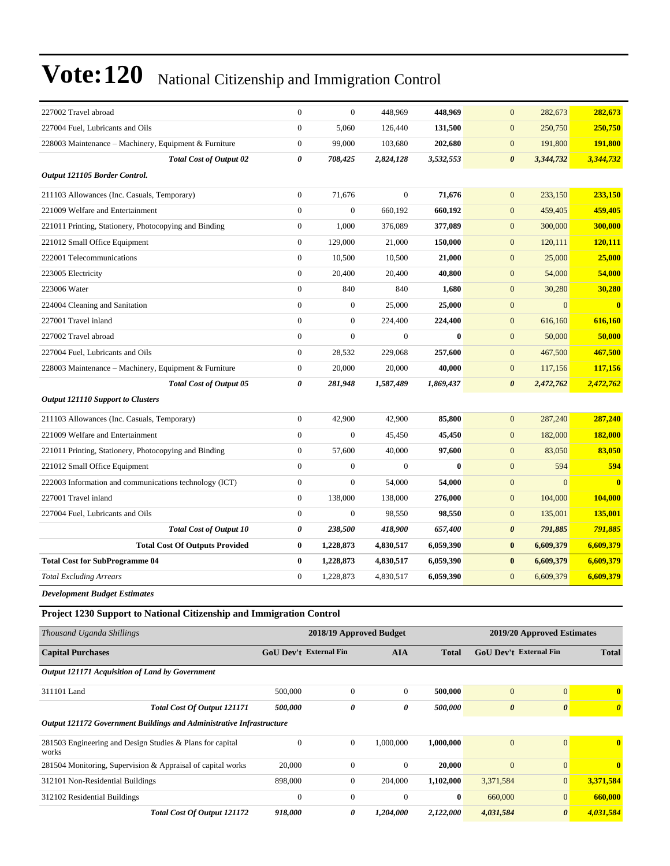| 227002 Travel abroad                                                 | $\boldsymbol{0}$       | $\boldsymbol{0}$        | 448,969          | 448,969      | $\mathbf{0}$           | 282,673                    | 282,673               |
|----------------------------------------------------------------------|------------------------|-------------------------|------------------|--------------|------------------------|----------------------------|-----------------------|
| 227004 Fuel, Lubricants and Oils                                     | $\boldsymbol{0}$       | 5,060                   | 126,440          | 131,500      | $\boldsymbol{0}$       | 250,750                    | 250,750               |
| 228003 Maintenance - Machinery, Equipment & Furniture                | $\boldsymbol{0}$       | 99,000                  | 103,680          | 202,680      | $\boldsymbol{0}$       | 191,800                    | 191,800               |
| <b>Total Cost of Output 02</b>                                       | $\boldsymbol{\theta}$  | 708,425                 | 2,824,128        | 3,532,553    | $\boldsymbol{\theta}$  | 3,344,732                  | 3,344,732             |
| Output 121105 Border Control.                                        |                        |                         |                  |              |                        |                            |                       |
| 211103 Allowances (Inc. Casuals, Temporary)                          | $\boldsymbol{0}$       | 71,676                  | $\mathbf{0}$     | 71,676       | $\mathbf{0}$           | 233,150                    | 233,150               |
| 221009 Welfare and Entertainment                                     | $\boldsymbol{0}$       | $\boldsymbol{0}$        | 660,192          | 660,192      | $\mathbf{0}$           | 459,405                    | 459,405               |
| 221011 Printing, Stationery, Photocopying and Binding                | $\boldsymbol{0}$       | 1,000                   | 376,089          | 377,089      | $\boldsymbol{0}$       | 300,000                    | 300,000               |
| 221012 Small Office Equipment                                        | $\boldsymbol{0}$       | 129,000                 | 21,000           | 150,000      | $\mathbf{0}$           | 120,111                    | 120,111               |
| 222001 Telecommunications                                            | $\boldsymbol{0}$       | 10,500                  | 10,500           | 21,000       | $\mathbf{0}$           | 25,000                     | 25,000                |
| 223005 Electricity                                                   | $\boldsymbol{0}$       | 20,400                  | 20,400           | 40,800       | $\mathbf{0}$           | 54,000                     | 54,000                |
| 223006 Water                                                         | $\boldsymbol{0}$       | 840                     | 840              | 1,680        | $\mathbf{0}$           | 30,280                     | 30,280                |
| 224004 Cleaning and Sanitation                                       | $\mathbf{0}$           | $\boldsymbol{0}$        | 25,000           | 25,000       | $\boldsymbol{0}$       | $\overline{0}$             | $\bf{0}$              |
| 227001 Travel inland                                                 | $\mathbf{0}$           | $\mathbf{0}$            | 224,400          | 224,400      | $\mathbf{0}$           | 616,160                    | 616,160               |
| 227002 Travel abroad                                                 | $\overline{0}$         | $\boldsymbol{0}$        | $\boldsymbol{0}$ | $\bf{0}$     | $\mathbf{0}$           | 50,000                     | 50,000                |
| 227004 Fuel, Lubricants and Oils                                     | $\boldsymbol{0}$       | 28,532                  | 229,068          | 257,600      | $\mathbf{0}$           | 467,500                    | 467,500               |
| 228003 Maintenance – Machinery, Equipment & Furniture                | $\mathbf{0}$           | 20,000                  | 20,000           | 40,000       | $\mathbf{0}$           | 117,156                    | 117,156               |
| <b>Total Cost of Output 05</b>                                       | 0                      | 281,948                 | 1,587,489        | 1,869,437    | $\boldsymbol{\theta}$  | 2,472,762                  | 2,472,762             |
| <b>Output 121110 Support to Clusters</b>                             |                        |                         |                  |              |                        |                            |                       |
| 211103 Allowances (Inc. Casuals, Temporary)                          | $\boldsymbol{0}$       | 42,900                  | 42,900           | 85,800       | $\mathbf{0}$           | 287,240                    | 287,240               |
| 221009 Welfare and Entertainment                                     | $\boldsymbol{0}$       | $\boldsymbol{0}$        | 45,450           | 45,450       | $\mathbf{0}$           | 182,000                    | 182,000               |
| 221011 Printing, Stationery, Photocopying and Binding                | $\boldsymbol{0}$       | 57,600                  | 40,000           | 97,600       | $\mathbf{0}$           | 83,050                     | 83,050                |
| 221012 Small Office Equipment                                        | $\mathbf{0}$           | 0                       | $\overline{0}$   | $\mathbf{0}$ | $\mathbf{0}$           | 594                        | 594                   |
| 222003 Information and communications technology (ICT)               | $\boldsymbol{0}$       | $\boldsymbol{0}$        | 54,000           | 54,000       | $\boldsymbol{0}$       | $\overline{0}$             | $\bf{0}$              |
| 227001 Travel inland                                                 | $\boldsymbol{0}$       | 138,000                 | 138,000          | 276,000      | $\boldsymbol{0}$       | 104,000                    | 104,000               |
| 227004 Fuel, Lubricants and Oils                                     | $\boldsymbol{0}$       | $\boldsymbol{0}$        | 98,550           | 98,550       | $\mathbf{0}$           | 135,001                    | 135,001               |
| <b>Total Cost of Output 10</b>                                       | 0                      | 238,500                 | 418,900          | 657,400      | $\boldsymbol{\theta}$  | 791,885                    | 791,885               |
| <b>Total Cost Of Outputs Provided</b>                                | $\bf{0}$               | 1,228,873               | 4,830,517        | 6,059,390    | $\bf{0}$               | 6,609,379                  | 6,609,379             |
| <b>Total Cost for SubProgramme 04</b>                                | $\bf{0}$               | 1,228,873               | 4,830,517        | 6,059,390    | $\bf{0}$               | 6,609,379                  | 6,609,379             |
| <b>Total Excluding Arrears</b>                                       | $\mathbf{0}$           | 1,228,873               | 4,830,517        | 6,059,390    | $\mathbf{0}$           | 6,609,379                  | 6,609,379             |
| <b>Development Budget Estimates</b>                                  |                        |                         |                  |              |                        |                            |                       |
| Project 1230 Support to National Citizenship and Immigration Control |                        |                         |                  |              |                        |                            |                       |
| Thousand Uganda Shillings                                            |                        | 2018/19 Approved Budget |                  |              |                        | 2019/20 Approved Estimates |                       |
| <b>Capital Purchases</b>                                             | GoU Dev't External Fin |                         | <b>AIA</b>       | <b>Total</b> | GoU Dev't External Fin |                            | <b>Total</b>          |
| Output 121171 Acquisition of Land by Government                      |                        |                         |                  |              |                        |                            |                       |
| 311101 Land                                                          | 500,000                | $\boldsymbol{0}$        | $\mathbf{0}$     | 500,000      | $\mathbf{0}$           | $\boldsymbol{0}$           | $\bf{0}$              |
| <b>Total Cost Of Output 121171</b>                                   | 500,000                | 0                       | 0                | 500,000      | $\boldsymbol{\theta}$  | $\boldsymbol{\theta}$      | $\boldsymbol{\theta}$ |
| Output 121172 Government Buildings and Administrative Infrastructure |                        |                         |                  |              |                        |                            |                       |
| 281503 Engineering and Design Studies & Plans for capital<br>works   | $\boldsymbol{0}$       | $\boldsymbol{0}$        | 1,000,000        | 1,000,000    | $\mathbf{0}$           | $\boldsymbol{0}$           | $\bf{0}$              |
| 281504 Monitoring, Supervision & Appraisal of capital works          | 20,000                 | $\boldsymbol{0}$        | $\boldsymbol{0}$ | 20,000       | $\mathbf{0}$           | $\boldsymbol{0}$           | $\bf{0}$              |
| 312101 Non-Residential Buildings                                     | 898,000                | $\boldsymbol{0}$        | 204,000          | 1,102,000    | 3,371,584              | $\boldsymbol{0}$           | 3,371,584             |
| 312102 Residential Buildings                                         | $\boldsymbol{0}$       | $\boldsymbol{0}$        | $\boldsymbol{0}$ | $\bf{0}$     | 660,000                | $\mathbf{0}$               | 660,000               |
| Total Cost Of Output 121172                                          | 918,000                | 0                       | 1,204,000        | 2,122,000    | 4,031,584              | $\boldsymbol{\theta}$      | 4,031,584             |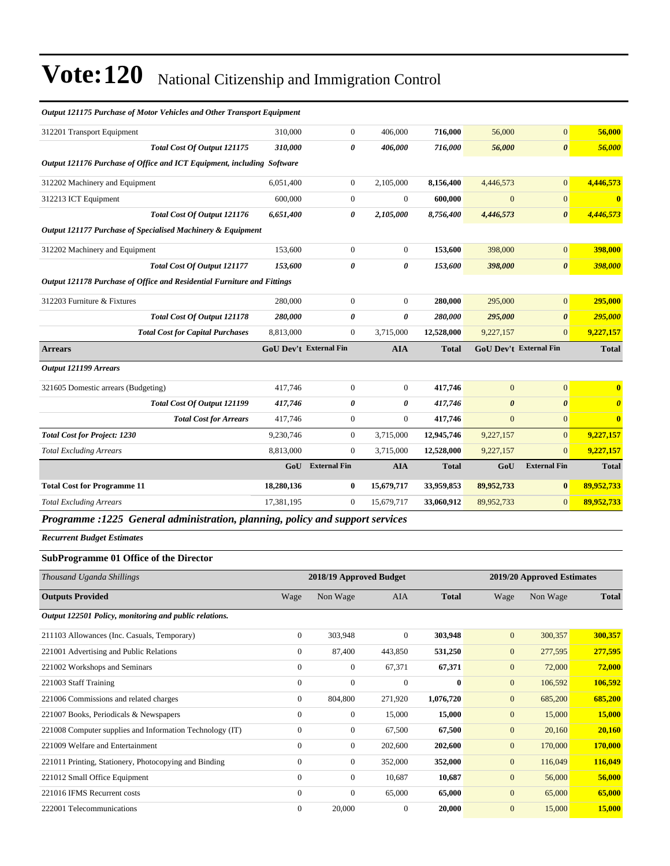| 312201 Transport Equipment                                              | 310,000    | $\overline{0}$                | 406,000          | 716,000      | 56,000                | $\mathbf{0}$                  | 56,000                |
|-------------------------------------------------------------------------|------------|-------------------------------|------------------|--------------|-----------------------|-------------------------------|-----------------------|
| Total Cost Of Output 121175                                             | 310,000    | 0                             | 406,000          | 716,000      | 56,000                | $\boldsymbol{\theta}$         | 56,000                |
| Output 121176 Purchase of Office and ICT Equipment, including Software  |            |                               |                  |              |                       |                               |                       |
| 312202 Machinery and Equipment                                          | 6.051.400  | $\overline{0}$                | 2,105,000        | 8,156,400    | 4,446,573             | $\overline{0}$                | 4,446,573             |
| 312213 ICT Equipment                                                    | 600,000    | $\boldsymbol{0}$              | $\boldsymbol{0}$ | 600,000      | $\mathbf{0}$          | $\mathbf{0}$                  | $\bf{0}$              |
| Total Cost Of Output 121176                                             | 6,651,400  | 0                             | 2,105,000        | 8,756,400    | 4,446,573             | $\boldsymbol{\theta}$         | 4,446,573             |
| Output 121177 Purchase of Specialised Machinery & Equipment             |            |                               |                  |              |                       |                               |                       |
| 312202 Machinery and Equipment                                          | 153,600    | $\boldsymbol{0}$              | $\overline{0}$   | 153,600      | 398,000               | $\mathbf{0}$                  | 398,000               |
| Total Cost Of Output 121177                                             | 153,600    | 0                             | 0                | 153,600      | 398,000               | $\boldsymbol{\theta}$         | 398,000               |
| Output 121178 Purchase of Office and Residential Furniture and Fittings |            |                               |                  |              |                       |                               |                       |
| 312203 Furniture & Fixtures                                             | 280,000    | $\overline{0}$                | $\theta$         | 280,000      | 295,000               | $\mathbf{0}$                  | 295,000               |
| Total Cost Of Output 121178                                             | 280,000    | 0                             | 0                | 280,000      | 295,000               | $\theta$                      | 295,000               |
| <b>Total Cost for Capital Purchases</b>                                 | 8,813,000  | $\mathbf{0}$                  | 3,715,000        | 12,528,000   | 9,227,157             | $\Omega$                      | 9,227,157             |
| <b>Arrears</b>                                                          |            | <b>GoU Dev't External Fin</b> | <b>AIA</b>       | <b>Total</b> |                       | <b>GoU Dev't External Fin</b> | <b>Total</b>          |
| <b>Output 121199 Arrears</b>                                            |            |                               |                  |              |                       |                               |                       |
| 321605 Domestic arrears (Budgeting)                                     | 417,746    | $\boldsymbol{0}$              | $\theta$         | 417,746      | $\mathbf{0}$          | $\overline{0}$                | $\mathbf{0}$          |
| Total Cost Of Output 121199                                             | 417,746    | 0                             | 0                | 417,746      | $\boldsymbol{\theta}$ | $\boldsymbol{\theta}$         | $\boldsymbol{\theta}$ |
| <b>Total Cost for Arrears</b>                                           | 417,746    | $\boldsymbol{0}$              | $\overline{0}$   | 417,746      | $\mathbf{0}$          | $\mathbf{0}$                  | $\bf{0}$              |
| <b>Total Cost for Project: 1230</b>                                     | 9,230,746  | $\overline{0}$                | 3,715,000        | 12,945,746   | 9,227,157             | $\overline{0}$                | 9,227,157             |
| <b>Total Excluding Arrears</b>                                          | 8,813,000  | $\mathbf{0}$                  | 3,715,000        | 12,528,000   | 9,227,157             | $\Omega$                      | 9,227,157             |
|                                                                         | GoU        | <b>External Fin</b>           | <b>AIA</b>       | <b>Total</b> | GoU                   | <b>External Fin</b>           | <b>Total</b>          |
| <b>Total Cost for Programme 11</b>                                      | 18,280,136 | $\bf{0}$                      | 15,679,717       | 33,959,853   | 89,952,733            | $\bf{0}$                      | 89,952,733            |
| <b>Total Excluding Arrears</b>                                          | 17,381,195 | 0                             | 15,679,717       | 33,060,912   | 89,952,733            | $\overline{0}$                | 89,952,733            |
|                                                                         |            |                               |                  |              |                       |                               |                       |

#### *Output 121175 Purchase of Motor Vehicles and Other Transport Equipment*

*Programme :1225 General administration, planning, policy and support services*

*Recurrent Budget Estimates*

#### **SubProgramme 01 Office of the Director**

| Thousand Uganda Shillings                                |                | 2018/19 Approved Budget |              |              | 2019/20 Approved Estimates |          |              |
|----------------------------------------------------------|----------------|-------------------------|--------------|--------------|----------------------------|----------|--------------|
| <b>Outputs Provided</b>                                  | Wage           | Non Wage                | AIA          | <b>Total</b> | Wage                       | Non Wage | <b>Total</b> |
| Output 122501 Policy, monitoring and public relations.   |                |                         |              |              |                            |          |              |
| 211103 Allowances (Inc. Casuals, Temporary)              | $\overline{0}$ | 303,948                 | $\Omega$     | 303,948      | $\overline{0}$             | 300,357  | 300,357      |
| 221001 Advertising and Public Relations                  | $\overline{0}$ | 87,400                  | 443,850      | 531,250      | $\overline{0}$             | 277,595  | 277,595      |
| 221002 Workshops and Seminars                            | $\Omega$       | $\mathbf{0}$            | 67,371       | 67,371       | $\mathbf{0}$               | 72,000   | 72,000       |
| 221003 Staff Training                                    | $\mathbf{0}$   | $\overline{0}$          | $\Omega$     | $\mathbf{0}$ | $\overline{0}$             | 106,592  | 106,592      |
| 221006 Commissions and related charges                   | $\overline{0}$ | 804,800                 | 271,920      | 1,076,720    | $\overline{0}$             | 685,200  | 685,200      |
| 221007 Books, Periodicals & Newspapers                   | $\mathbf{0}$   | $\mathbf{0}$            | 15,000       | 15,000       | $\overline{0}$             | 15,000   | 15,000       |
| 221008 Computer supplies and Information Technology (IT) | $\mathbf{0}$   | $\overline{0}$          | 67,500       | 67,500       | $\mathbf{0}$               | 20,160   | 20,160       |
| 221009 Welfare and Entertainment                         | $\mathbf{0}$   | $\mathbf{0}$            | 202,600      | 202,600      | $\overline{0}$             | 170,000  | 170,000      |
| 221011 Printing, Stationery, Photocopying and Binding    | $\mathbf{0}$   | $\overline{0}$          | 352,000      | 352,000      | $\overline{0}$             | 116,049  | 116,049      |
| 221012 Small Office Equipment                            | $\mathbf{0}$   | $\mathbf{0}$            | 10,687       | 10,687       | $\mathbf{0}$               | 56,000   | 56,000       |
| 221016 IFMS Recurrent costs                              | $\Omega$       | $\mathbf{0}$            | 65,000       | 65,000       | $\mathbf{0}$               | 65,000   | 65,000       |
| 222001 Telecommunications                                | $\mathbf{0}$   | 20,000                  | $\mathbf{0}$ | 20,000       | $\overline{0}$             | 15,000   | 15,000       |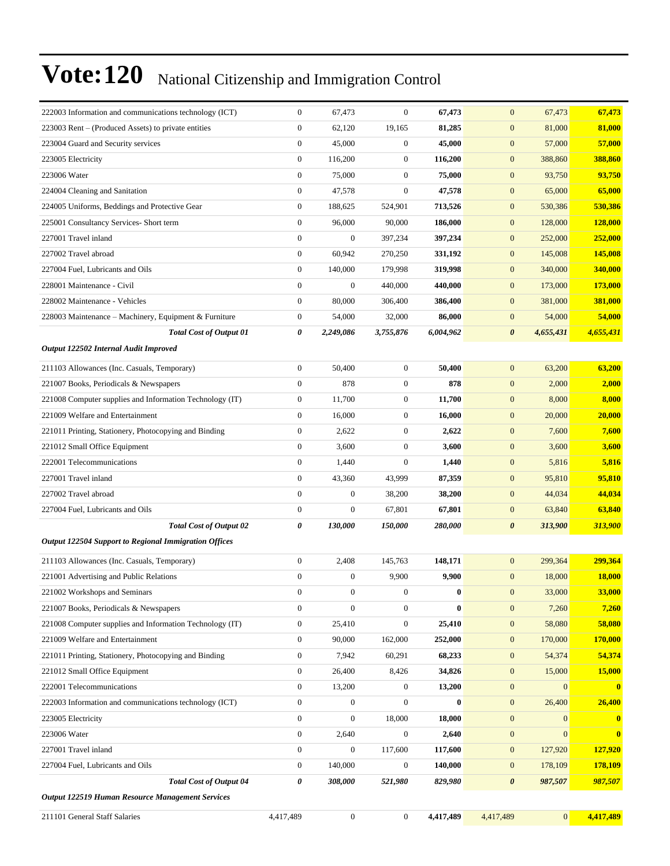| 222003 Information and communications technology (ICT)       | $\boldsymbol{0}$ | 67,473           | $\boldsymbol{0}$ | 67,473       | $\mathbf{0}$          | 67,473         | 67,473         |
|--------------------------------------------------------------|------------------|------------------|------------------|--------------|-----------------------|----------------|----------------|
| 223003 Rent – (Produced Assets) to private entities          | $\boldsymbol{0}$ | 62,120           | 19,165           | 81,285       | $\mathbf{0}$          | 81,000         | 81,000         |
| 223004 Guard and Security services                           | $\boldsymbol{0}$ | 45,000           | $\boldsymbol{0}$ | 45,000       | $\boldsymbol{0}$      | 57,000         | 57,000         |
| 223005 Electricity                                           | $\boldsymbol{0}$ | 116,200          | $\mathbf{0}$     | 116,200      | $\boldsymbol{0}$      | 388,860        | 388,860        |
| 223006 Water                                                 | $\boldsymbol{0}$ | 75,000           | $\mathbf{0}$     | 75,000       | $\mathbf{0}$          | 93,750         | 93,750         |
| 224004 Cleaning and Sanitation                               | $\boldsymbol{0}$ | 47,578           | $\mathbf{0}$     | 47,578       | $\boldsymbol{0}$      | 65,000         | 65,000         |
| 224005 Uniforms, Beddings and Protective Gear                | $\boldsymbol{0}$ | 188,625          | 524,901          | 713,526      | $\boldsymbol{0}$      | 530,386        | 530,386        |
| 225001 Consultancy Services- Short term                      | $\mathbf{0}$     | 96,000           | 90,000           | 186,000      | $\mathbf{0}$          | 128,000        | 128,000        |
| 227001 Travel inland                                         | $\boldsymbol{0}$ | $\boldsymbol{0}$ | 397,234          | 397,234      | $\boldsymbol{0}$      | 252,000        | 252,000        |
| 227002 Travel abroad                                         | $\boldsymbol{0}$ | 60,942           | 270,250          | 331,192      | $\mathbf{0}$          | 145,008        | <b>145,008</b> |
| 227004 Fuel, Lubricants and Oils                             | $\boldsymbol{0}$ | 140,000          | 179,998          | 319,998      | $\boldsymbol{0}$      | 340,000        | 340,000        |
| 228001 Maintenance - Civil                                   | $\overline{0}$   | $\boldsymbol{0}$ | 440,000          | 440,000      | $\boldsymbol{0}$      | 173,000        | 173,000        |
| 228002 Maintenance - Vehicles                                | $\boldsymbol{0}$ | 80,000           | 306,400          | 386,400      | $\boldsymbol{0}$      | 381,000        | 381,000        |
| 228003 Maintenance - Machinery, Equipment & Furniture        | $\boldsymbol{0}$ | 54,000           | 32,000           | 86,000       | $\mathbf{0}$          | 54,000         | 54,000         |
| <b>Total Cost of Output 01</b>                               | 0                | 2,249,086        | 3,755,876        | 6,004,962    | $\boldsymbol{\theta}$ | 4,655,431      | 4,655,431      |
| Output 122502 Internal Audit Improved                        |                  |                  |                  |              |                       |                |                |
| 211103 Allowances (Inc. Casuals, Temporary)                  | $\boldsymbol{0}$ | 50,400           | $\boldsymbol{0}$ | 50,400       | $\boldsymbol{0}$      | 63,200         | 63,200         |
| 221007 Books, Periodicals & Newspapers                       | $\boldsymbol{0}$ | 878              | $\mathbf{0}$     | 878          | $\boldsymbol{0}$      | 2,000          | 2,000          |
| 221008 Computer supplies and Information Technology (IT)     | $\boldsymbol{0}$ | 11,700           | $\boldsymbol{0}$ | 11,700       | $\mathbf{0}$          | 8,000          | 8,000          |
| 221009 Welfare and Entertainment                             | $\boldsymbol{0}$ | 16.000           | $\mathbf{0}$     | 16,000       | $\mathbf{0}$          | 20,000         | 20,000         |
| 221011 Printing, Stationery, Photocopying and Binding        | $\boldsymbol{0}$ | 2,622            | $\boldsymbol{0}$ | 2,622        | $\mathbf{0}$          | 7,600          | 7,600          |
| 221012 Small Office Equipment                                | $\boldsymbol{0}$ | 3,600            | $\mathbf{0}$     | 3,600        | $\boldsymbol{0}$      | 3,600          | 3,600          |
| 222001 Telecommunications                                    | $\boldsymbol{0}$ | 1,440            | $\mathbf{0}$     | 1,440        | $\boldsymbol{0}$      | 5,816          | 5,816          |
| 227001 Travel inland                                         | $\mathbf{0}$     | 43,360           | 43,999           | 87,359       | $\mathbf{0}$          | 95,810         | 95,810         |
| 227002 Travel abroad                                         | $\boldsymbol{0}$ | $\boldsymbol{0}$ | 38,200           | 38,200       | $\mathbf{0}$          | 44,034         | 44,034         |
| 227004 Fuel, Lubricants and Oils                             | $\boldsymbol{0}$ | $\boldsymbol{0}$ | 67,801           | 67,801       | $\mathbf{0}$          | 63,840         | 63,840         |
| <b>Total Cost of Output 02</b>                               | 0                | 130,000          | 150,000          | 280,000      | $\boldsymbol{\theta}$ | 313,900        | 313,900        |
| <b>Output 122504 Support to Regional Immigration Offices</b> |                  |                  |                  |              |                       |                |                |
| 211103 Allowances (Inc. Casuals, Temporary)                  | $\boldsymbol{0}$ | 2,408            | 145,763          | 148,171      | $\mathbf{0}$          | 299,364        | 299,364        |
| 221001 Advertising and Public Relations                      | $\boldsymbol{0}$ | $\boldsymbol{0}$ | 9,900            | 9,900        | $\mathbf{0}$          | 18,000         | 18,000         |
| 221002 Workshops and Seminars                                | $\boldsymbol{0}$ | 0                | 0                | $\mathbf{0}$ | $\mathbf{0}$          | 33,000         | 33,000         |
| 221007 Books, Periodicals & Newspapers                       | $\boldsymbol{0}$ | $\boldsymbol{0}$ | $\boldsymbol{0}$ | $\bf{0}$     | $\mathbf{0}$          | 7,260          | 7,260          |
| 221008 Computer supplies and Information Technology (IT)     | $\boldsymbol{0}$ | 25,410           | $\boldsymbol{0}$ | 25,410       | $\boldsymbol{0}$      | 58,080         | 58,080         |
| 221009 Welfare and Entertainment                             | $\boldsymbol{0}$ | 90,000           | 162,000          | 252,000      | $\boldsymbol{0}$      | 170,000        | 170,000        |
| 221011 Printing, Stationery, Photocopying and Binding        | $\boldsymbol{0}$ | 7,942            | 60,291           | 68,233       | $\mathbf{0}$          | 54,374         | 54,374         |
| 221012 Small Office Equipment                                | $\boldsymbol{0}$ | 26,400           | 8,426            | 34,826       | $\mathbf{0}$          | 15,000         | 15,000         |
| 222001 Telecommunications                                    | $\boldsymbol{0}$ | 13,200           | $\boldsymbol{0}$ | 13,200       | $\boldsymbol{0}$      | $\mathbf{0}$   | $\bf{0}$       |
| 222003 Information and communications technology (ICT)       | $\boldsymbol{0}$ | $\boldsymbol{0}$ | $\boldsymbol{0}$ | $\bf{0}$     | $\boldsymbol{0}$      | 26,400         | 26,400         |
| 223005 Electricity                                           | $\boldsymbol{0}$ | $\boldsymbol{0}$ | 18,000           | 18,000       | $\boldsymbol{0}$      | $\overline{0}$ | $\bf{0}$       |
| 223006 Water                                                 | $\boldsymbol{0}$ | 2,640            | $\boldsymbol{0}$ | 2,640        | $\boldsymbol{0}$      | $\mathbf{0}$   | $\bf{0}$       |
| 227001 Travel inland                                         | $\boldsymbol{0}$ | $\boldsymbol{0}$ | 117,600          | 117,600      | $\mathbf{0}$          | 127,920        | 127,920        |
| 227004 Fuel, Lubricants and Oils                             | $\boldsymbol{0}$ | 140,000          | $\boldsymbol{0}$ | 140,000      | $\mathbf{0}$          | 178,109        | <b>178,109</b> |
| <b>Total Cost of Output 04</b>                               | 0                | 308,000          | 521,980          | 829,980      | $\boldsymbol{\theta}$ | 987,507        | 987,507        |
| Output 122519 Human Resource Management Services             |                  |                  |                  |              |                       |                |                |
| 211101 General Staff Salaries                                | 4,417,489        | $\boldsymbol{0}$ | $\boldsymbol{0}$ | 4,417,489    | 4,417,489             | $\overline{0}$ | 4,417,489      |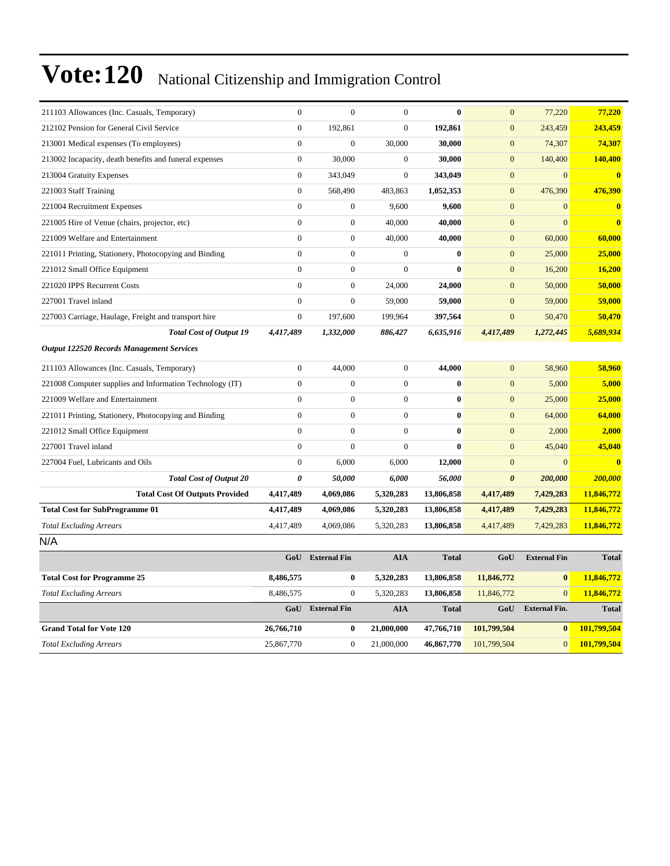| 211103 Allowances (Inc. Casuals, Temporary)              | $\mathbf{0}$     | $\mathbf{0}$        | $\overline{0}$   | $\bf{0}$     | $\mathbf{0}$          | 77,220               | 77,220       |
|----------------------------------------------------------|------------------|---------------------|------------------|--------------|-----------------------|----------------------|--------------|
| 212102 Pension for General Civil Service                 | $\mathbf{0}$     | 192,861             | $\overline{0}$   | 192,861      | $\mathbf{0}$          | 243,459              | 243,459      |
| 213001 Medical expenses (To employees)                   | $\overline{0}$   | $\boldsymbol{0}$    | 30,000           | 30,000       | $\mathbf{0}$          | 74,307               | 74,307       |
| 213002 Incapacity, death benefits and funeral expenses   | $\overline{0}$   | 30,000              | $\boldsymbol{0}$ | 30,000       | $\mathbf{0}$          | 140,400              | 140,400      |
| 213004 Gratuity Expenses                                 | $\mathbf{0}$     | 343,049             | $\overline{0}$   | 343,049      | $\mathbf{0}$          | $\overline{0}$       | $\bf{0}$     |
| 221003 Staff Training                                    | $\mathbf{0}$     | 568,490             | 483,863          | 1,052,353    | $\mathbf{0}$          | 476,390              | 476,390      |
| 221004 Recruitment Expenses                              | $\overline{0}$   | $\boldsymbol{0}$    | 9,600            | 9,600        | $\mathbf{0}$          | $\mathbf{0}$         | $\mathbf{0}$ |
| 221005 Hire of Venue (chairs, projector, etc)            | $\overline{0}$   | $\boldsymbol{0}$    | 40,000           | 40,000       | $\mathbf{0}$          | $\overline{0}$       | $\bf{0}$     |
| 221009 Welfare and Entertainment                         | $\overline{0}$   | $\boldsymbol{0}$    | 40,000           | 40,000       | $\mathbf{0}$          | 60,000               | 60,000       |
| 221011 Printing, Stationery, Photocopying and Binding    | $\overline{0}$   | $\boldsymbol{0}$    | $\boldsymbol{0}$ | $\mathbf{0}$ | $\mathbf{0}$          | 25,000               | 25,000       |
| 221012 Small Office Equipment                            | $\overline{0}$   | $\boldsymbol{0}$    | $\overline{0}$   | $\bf{0}$     | $\mathbf{0}$          | 16,200               | 16,200       |
| 221020 IPPS Recurrent Costs                              | $\overline{0}$   | $\boldsymbol{0}$    | 24,000           | 24,000       | $\mathbf{0}$          | 50,000               | 50,000       |
| 227001 Travel inland                                     | $\overline{0}$   | $\boldsymbol{0}$    | 59,000           | 59,000       | $\mathbf{0}$          | 59,000               | 59,000       |
| 227003 Carriage, Haulage, Freight and transport hire     | $\mathbf{0}$     | 197,600             | 199,964          | 397,564      | $\mathbf{0}$          | 50,470               | 50,470       |
| <b>Total Cost of Output 19</b>                           | 4,417,489        | 1,332,000           | 886,427          | 6,635,916    | 4,417,489             | 1,272,445            | 5,689,934    |
| <b>Output 122520 Records Management Services</b>         |                  |                     |                  |              |                       |                      |              |
| 211103 Allowances (Inc. Casuals, Temporary)              | $\boldsymbol{0}$ | 44,000              | $\boldsymbol{0}$ | 44,000       | $\mathbf{0}$          | 58,960               | 58,960       |
| 221008 Computer supplies and Information Technology (IT) | $\mathbf{0}$     | $\overline{0}$      | $\overline{0}$   | $\bf{0}$     | $\mathbf{0}$          | 5,000                | 5,000        |
| 221009 Welfare and Entertainment                         | $\overline{0}$   | $\boldsymbol{0}$    | $\overline{0}$   | $\bf{0}$     | $\mathbf{0}$          | 25,000               | 25,000       |
| 221011 Printing, Stationery, Photocopying and Binding    | $\overline{0}$   | $\boldsymbol{0}$    | $\overline{0}$   | $\bf{0}$     | $\mathbf{0}$          | 64,000               | 64,000       |
| 221012 Small Office Equipment                            | $\overline{0}$   | $\boldsymbol{0}$    | $\overline{0}$   | $\bf{0}$     | $\mathbf{0}$          | 2,000                | 2,000        |
| 227001 Travel inland                                     | $\theta$         | $\mathbf{0}$        | $\mathbf{0}$     | $\mathbf{0}$ | $\mathbf{0}$          | 45,040               | 45,040       |
| 227004 Fuel, Lubricants and Oils                         | $\mathbf{0}$     | 6,000               | 6,000            | 12,000       | $\mathbf{0}$          | $\overline{0}$       | $\bf{0}$     |
| <b>Total Cost of Output 20</b>                           | 0                | 50,000              | 6,000            | 56,000       | $\boldsymbol{\theta}$ | 200,000              | 200,000      |
| <b>Total Cost Of Outputs Provided</b>                    | 4,417,489        | 4,069,086           | 5,320,283        | 13,806,858   | 4,417,489             | 7,429,283            | 11,846,772   |
| <b>Total Cost for SubProgramme 01</b>                    | 4,417,489        | 4,069,086           | 5,320,283        | 13,806,858   | 4,417,489             | 7,429,283            | 11,846,772   |
| <b>Total Excluding Arrears</b>                           | 4,417,489        | 4,069,086           | 5,320,283        | 13,806,858   | 4,417,489             | 7,429,283            | 11,846,772   |
| N/A                                                      |                  |                     |                  |              |                       |                      |              |
|                                                          | GoU              | <b>External Fin</b> | <b>AIA</b>       | <b>Total</b> | GoU                   | <b>External Fin</b>  | <b>Total</b> |
| <b>Total Cost for Programme 25</b>                       | 8,486,575        | $\boldsymbol{0}$    | 5,320,283        | 13,806,858   | 11,846,772            | $\bf{0}$             | 11,846,772   |
| <b>Total Excluding Arrears</b>                           | 8,486,575        | $\boldsymbol{0}$    | 5,320,283        | 13,806,858   | 11,846,772            | $\Omega$             | 11,846,772   |
|                                                          | GoU              | <b>External Fin</b> | <b>AIA</b>       | <b>Total</b> | GoU                   | <b>External Fin.</b> | <b>Total</b> |
| <b>Grand Total for Vote 120</b>                          | 26,766,710       | 0                   | 21,000,000       | 47,766,710   | 101,799,504           | $\bf{0}$             | 101,799,504  |
| <b>Total Excluding Arrears</b>                           | 25,867,770       | $\boldsymbol{0}$    | 21,000,000       | 46,867,770   | 101,799,504           | $\boldsymbol{0}$     | 101,799,504  |